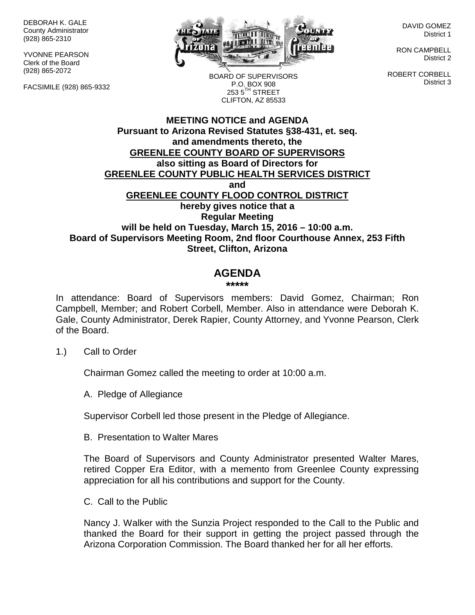DEBORAH K. GALE County Administrator (928) 865-2310

YVONNE PEARSON Clerk of the Board (928) 865-2072

FACSIMILE (928) 865-9332



BOARD OF SUPERVISORS P.O. BOX 908  $253.5$ <sup>TH</sup> STREET CLIFTON, AZ 85533

DAVID GOMEZ District 1

RON CAMPBELL District 2

ROBERT CORBELL District 3

## **MEETING NOTICE and AGENDA Pursuant to Arizona Revised Statutes §38-431, et. seq. and amendments thereto, the GREENLEE COUNTY BOARD OF SUPERVISORS also sitting as Board of Directors for GREENLEE COUNTY PUBLIC HEALTH SERVICES DISTRICT and GREENLEE COUNTY FLOOD CONTROL DISTRICT hereby gives notice that a Regular Meeting will be held on Tuesday, March 15, 2016 – 10:00 a.m. Board of Supervisors Meeting Room, 2nd floor Courthouse Annex, 253 Fifth Street, Clifton, Arizona**

# **AGENDA**

#### **\*\*\*\*\***

In attendance: Board of Supervisors members: David Gomez, Chairman; Ron Campbell, Member; and Robert Corbell, Member. Also in attendance were Deborah K. Gale, County Administrator, Derek Rapier, County Attorney, and Yvonne Pearson, Clerk of the Board.

### 1.) Call to Order

Chairman Gomez called the meeting to order at 10:00 a.m.

A. Pledge of Allegiance

Supervisor Corbell led those present in the Pledge of Allegiance.

B. Presentation to Walter Mares

The Board of Supervisors and County Administrator presented Walter Mares, retired Copper Era Editor, with a memento from Greenlee County expressing appreciation for all his contributions and support for the County.

C. Call to the Public

Nancy J. Walker with the Sunzia Project responded to the Call to the Public and thanked the Board for their support in getting the project passed through the Arizona Corporation Commission. The Board thanked her for all her efforts.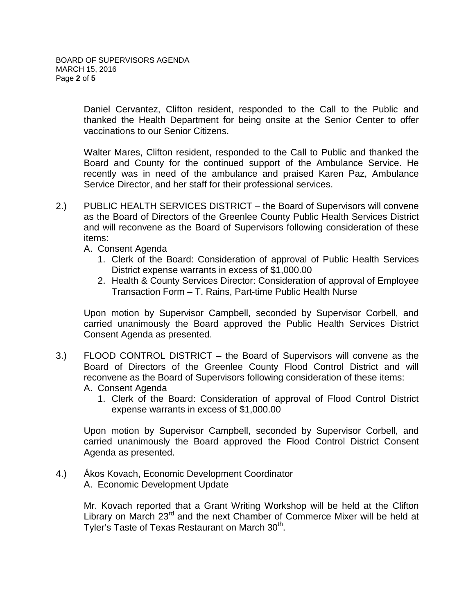Daniel Cervantez, Clifton resident, responded to the Call to the Public and thanked the Health Department for being onsite at the Senior Center to offer vaccinations to our Senior Citizens.

Walter Mares, Clifton resident, responded to the Call to Public and thanked the Board and County for the continued support of the Ambulance Service. He recently was in need of the ambulance and praised Karen Paz, Ambulance Service Director, and her staff for their professional services.

- 2.) PUBLIC HEALTH SERVICES DISTRICT the Board of Supervisors will convene as the Board of Directors of the Greenlee County Public Health Services District and will reconvene as the Board of Supervisors following consideration of these items:
	- A. Consent Agenda
		- 1. Clerk of the Board: Consideration of approval of Public Health Services District expense warrants in excess of \$1,000.00
		- 2. Health & County Services Director: Consideration of approval of Employee Transaction Form – T. Rains, Part-time Public Health Nurse

Upon motion by Supervisor Campbell, seconded by Supervisor Corbell, and carried unanimously the Board approved the Public Health Services District Consent Agenda as presented.

3.) FLOOD CONTROL DISTRICT – the Board of Supervisors will convene as the Board of Directors of the Greenlee County Flood Control District and will reconvene as the Board of Supervisors following consideration of these items:

A. Consent Agenda

1. Clerk of the Board: Consideration of approval of Flood Control District expense warrants in excess of \$1,000.00

Upon motion by Supervisor Campbell, seconded by Supervisor Corbell, and carried unanimously the Board approved the Flood Control District Consent Agenda as presented.

4.) Ákos Kovach, Economic Development Coordinator A. Economic Development Update

> Mr. Kovach reported that a Grant Writing Workshop will be held at the Clifton Library on March 23<sup>rd</sup> and the next Chamber of Commerce Mixer will be held at Tyler's Taste of Texas Restaurant on March 30<sup>th</sup>.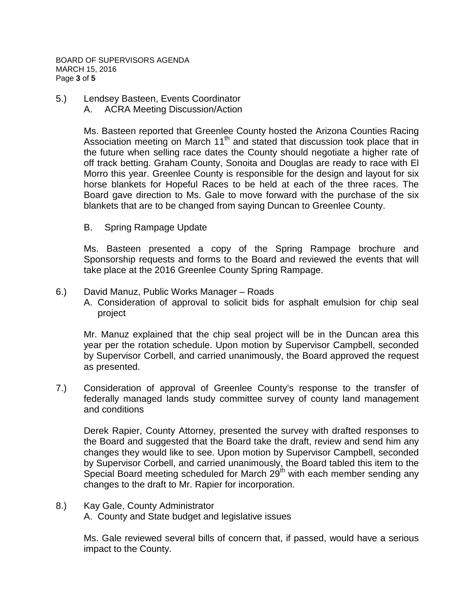BOARD OF SUPERVISORS AGENDA MARCH 15, 2016 Page **3** of **5**

- 5.) Lendsey Basteen, Events Coordinator
	- A. ACRA Meeting Discussion/Action

Ms. Basteen reported that Greenlee County hosted the Arizona Counties Racing Association meeting on March  $11<sup>th</sup>$  and stated that discussion took place that in the future when selling race dates the County should negotiate a higher rate of off track betting. Graham County, Sonoita and Douglas are ready to race with El Morro this year. Greenlee County is responsible for the design and layout for six horse blankets for Hopeful Races to be held at each of the three races. The Board gave direction to Ms. Gale to move forward with the purchase of the six blankets that are to be changed from saying Duncan to Greenlee County.

B. Spring Rampage Update

Ms. Basteen presented a copy of the Spring Rampage brochure and Sponsorship requests and forms to the Board and reviewed the events that will take place at the 2016 Greenlee County Spring Rampage.

6.) David Manuz, Public Works Manager – Roads A. Consideration of approval to solicit bids for asphalt emulsion for chip seal project

Mr. Manuz explained that the chip seal project will be in the Duncan area this year per the rotation schedule. Upon motion by Supervisor Campbell, seconded by Supervisor Corbell, and carried unanimously, the Board approved the request as presented.

7.) Consideration of approval of Greenlee County's response to the transfer of federally managed lands study committee survey of county land management and conditions

Derek Rapier, County Attorney, presented the survey with drafted responses to the Board and suggested that the Board take the draft, review and send him any changes they would like to see. Upon motion by Supervisor Campbell, seconded by Supervisor Corbell, and carried unanimously, the Board tabled this item to the Special Board meeting scheduled for March  $29<sup>th</sup>$  with each member sending any changes to the draft to Mr. Rapier for incorporation.

8.) Kay Gale, County Administrator

A. County and State budget and legislative issues

Ms. Gale reviewed several bills of concern that, if passed, would have a serious impact to the County.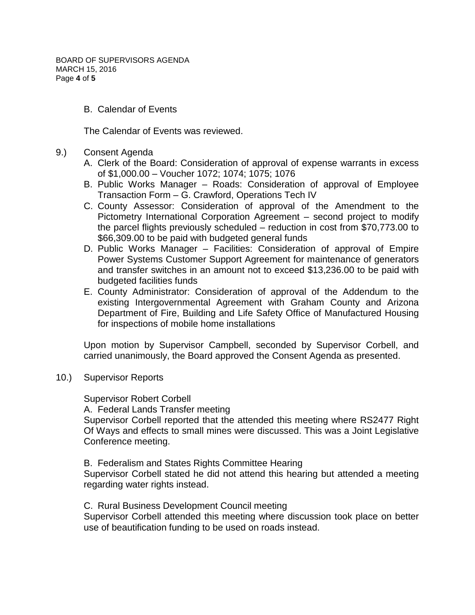BOARD OF SUPERVISORS AGENDA MARCH 15, 2016 Page **4** of **5**

B. Calendar of Events

The Calendar of Events was reviewed.

- 9.) Consent Agenda
	- A. Clerk of the Board: Consideration of approval of expense warrants in excess of \$1,000.00 – Voucher 1072; 1074; 1075; 1076
	- B. Public Works Manager Roads: Consideration of approval of Employee Transaction Form – G. Crawford, Operations Tech IV
	- C. County Assessor: Consideration of approval of the Amendment to the Pictometry International Corporation Agreement – second project to modify the parcel flights previously scheduled – reduction in cost from \$70,773.00 to \$66,309.00 to be paid with budgeted general funds
	- D. Public Works Manager Facilities: Consideration of approval of Empire Power Systems Customer Support Agreement for maintenance of generators and transfer switches in an amount not to exceed \$13,236.00 to be paid with budgeted facilities funds
	- E. County Administrator: Consideration of approval of the Addendum to the existing Intergovernmental Agreement with Graham County and Arizona Department of Fire, Building and Life Safety Office of Manufactured Housing for inspections of mobile home installations

Upon motion by Supervisor Campbell, seconded by Supervisor Corbell, and carried unanimously, the Board approved the Consent Agenda as presented.

10.) Supervisor Reports

Supervisor Robert Corbell

A. Federal Lands Transfer meeting

Supervisor Corbell reported that the attended this meeting where RS2477 Right Of Ways and effects to small mines were discussed. This was a Joint Legislative Conference meeting.

B. Federalism and States Rights Committee Hearing

Supervisor Corbell stated he did not attend this hearing but attended a meeting regarding water rights instead.

C. Rural Business Development Council meeting

Supervisor Corbell attended this meeting where discussion took place on better use of beautification funding to be used on roads instead.